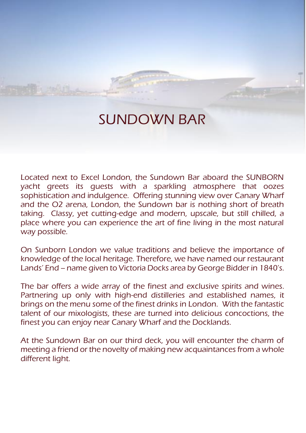# SUNDOWN BAR

Located next to Excel London, the Sundown Bar aboard the SUNBORN yacht greets its guests with a sparkling atmosphere that oozes sophistication and indulgence. Offering stunning view over Canary Wharf and the O2 arena, London, the Sundown bar is nothing short of breath taking. Classy, yet cutting-edge and modern, upscale, but still chilled, a place where you can experience the art of fine living in the most natural way possible.

On Sunborn London we value traditions and believe the importance of knowledge of the local heritage. Therefore, we have named our restaurant Lands' End – name given to Victoria Docks area by George Bidder in 1840's.

The bar offers a wide array of the finest and exclusive spirits and wines. Partnering up only with high-end distilleries and established names, it brings on the menu some of the finest drinks in London. With the fantastic talent of our mixologists, these are turned into delicious concoctions, the finest you can enjoy near Canary Wharf and the Docklands.

At the Sundown Bar on our third deck, you will encounter the charm of meeting a friend or the novelty of making new acquaintances from a whole different light.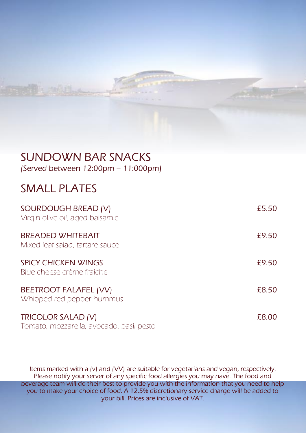# SUNDOWN BAR SNACKS

(Served between 12:00pm – 11:000pm)

## SMALL PLATES

| SOURDOUGH BREAD (V)<br>Virgin olive oil, aged balsamic         | £5.50 |
|----------------------------------------------------------------|-------|
| <b>BREADED WHITEBAIT</b><br>Mixed leaf salad, tartare sauce    | £9.50 |
| <b>SPICY CHICKEN WINGS</b><br>Blue cheese crème fraiche        | £9.50 |
| <b>BEETROOT FALAFEL (VV)</b><br>Whipped red pepper hummus      | £8.50 |
| TRICOLOR SALAD (V)<br>Tomato, mozzarella, avocado, basil pesto | £8.00 |

Items marked with a (v) and (VV) are suitable for vegetarians and vegan, respectively. Please notify your server of any specific food allergies you may have. The food and beverage team will do their best to provide you with the information that you need to help you to make your choice of food. A 12.5% discretionary service charge will be added to your bill. Prices are inclusive of VAT.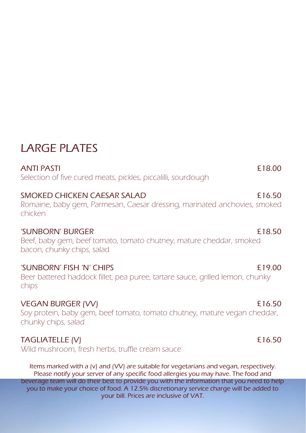# LARGE PLATES

ANTI PASTI **E** 18.00 Selection of five cured meats, pickles, piccalilli, sourdough

SMOKED CHICKEN CAESAR SALAD **2008** 2008 16.50

Romaine, baby gem, Parmesan, Caesar dressing, marinated anchovies, smoked chicken

### 'SUNBORN' BURGER £18.50

Beef, baby gem, beef tomato, tomato chutney, mature cheddar, smoked bacon, chunky chips, salad

### 'SUNBORN' FISH 'N' CHIPS £19.00

Beer battered haddock fillet, pea puree, tartare sauce, grilled lemon, chunky chips

VEGAN BURGER (VV) **E16.50** Soy protein, baby gem, beef tomato, tomato chutney, mature vegan cheddar, chunky chips, salad

## TAGLIATELLE (V) 6.50

Wild mushroom, fresh herbs, truffle cream sauce

Items marked with a (v) and (VV) are suitable for vegetarians and vegan, respectively. Please notify your server of any specific food allergies you may have. The food and beverage team will do their best to provide you with the information that you need to help you to make your choice of food. A 12.5% discretionary service charge will be added to your bill. Prices are inclusive of VAT.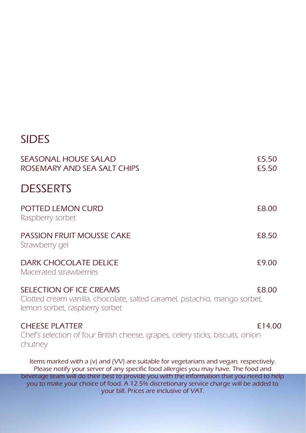# SIDES

| <b>SEASONAL HOUSE SALAD</b><br>ROSEMARY AND SEA SALT CHIPS                                                                                                                                                                      | £5.50<br>£5.50 |
|---------------------------------------------------------------------------------------------------------------------------------------------------------------------------------------------------------------------------------|----------------|
| <b>DESSERTS</b>                                                                                                                                                                                                                 |                |
| POTTED LEMON CURD<br>Raspberry sorbet                                                                                                                                                                                           | £8.00          |
| <b>PASSION FRUIT MOUSSE CAKE</b><br>Strawberry gel                                                                                                                                                                              | £8.50          |
| <b>DARK CHOCOLATE DELICE</b><br>Macerated strawberries                                                                                                                                                                          | £9.00          |
| <b>SELECTION OF ICE CREAMS</b><br>Clotted cream vanilla, chocolate, salted caramel, pistachio, mango sorbet,<br>lemon sorbet, raspberry sorbet                                                                                  | £8.00          |
| <b>CHEESE PLATTER</b><br>Chef's selection of four British cheese, grapes, celery sticks, biscuits, onion<br>chutney                                                                                                             | £14.00         |
| Items marked with a (v) and (VV) are suitable for vegetarians and vegan, respectively.<br>Please notify your server of any specific food allergies you may have. The food and                                                   |                |
| beverage team will do their best to provide you with the information that you need to help<br>you to make your choice of food. A 12.5% discretionary service charge will be added to<br>your bill. Prices are inclusive of VAT. |                |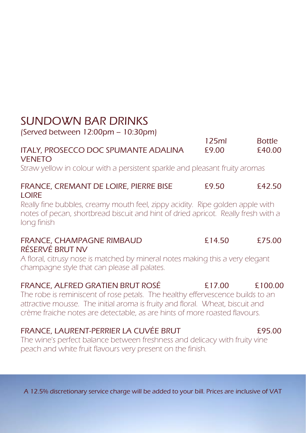# SUNDOWN BAR DRINKS

(Served between 12:00pm – 10:30pm)

#### 125ml Bottle ITALY, PROSECCO DOC SPUMANTE ADALINA £9.00 £40.00 **VENETO**

Straw yellow in colour with a persistent sparkle and pleasant fruity aromas

#### FRANCE, CREMANT DE LOIRE, PIERRE BISE £9.50 £42.50 LOIRE

Really fine bubbles, creamy mouth feel, zippy acidity. Ripe golden apple with notes of pecan, shortbread biscuit and hint of dried apricot. Really fresh with a long finish

#### FRANCE, CHAMPAGNE RIMBAUD **E14.50** £75.00 RÉSERVÉ BRUT NV

A floral, citrusy nose is matched by mineral notes making this a very elegant champagne style that can please all palates.

### FRANCE, ALFRED GRATIEN BRUT ROSÉ £17.00 £100.00

The robe is reminiscent of rose petals. The healthy effervescence builds to an attractive mousse. The initial aroma is fruity and floral. Wheat, biscuit and crème fraiche notes are detectable, as are hints of more roasted flavours.

### FRANCE, LAURENT-PERRIER LA CUVÉE BRUT £95.00

The wine's perfect balance between freshness and delicacy with fruity vine peach and white fruit flavours very present on the finish.

A 12.5% discretionary service charge will be added to your bill. Prices are inclusive of VAT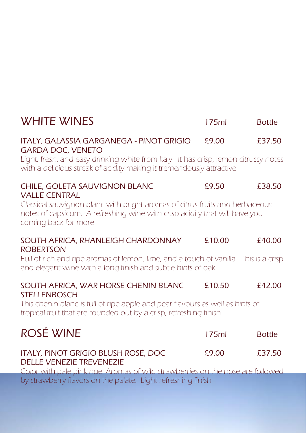| <b>WHITE WINES</b>                                                                                                                                                                 | 175ml  | <b>Bottle</b> |
|------------------------------------------------------------------------------------------------------------------------------------------------------------------------------------|--------|---------------|
| ITALY, GALASSIA GARGANEGA - PINOT GRIGIO<br><b>GARDA DOC, VENETO</b>                                                                                                               | £9.00  | £37.50        |
| Light, fresh, and easy drinking white from Italy. It has crisp, lemon citrussy notes<br>with a delicious streak of acidity making it tremendously attractive                       |        |               |
| CHILE, GOLETA SAUVIGNON BLANC<br><b>VALLE CENTRAL</b>                                                                                                                              | £9.50  | £38.50        |
| Classical sauvignon blanc with bright aromas of citrus fruits and herbaceous<br>notes of capsicum. A refreshing wine with crisp acidity that will have you<br>coming back for more |        |               |
| SOUTH AFRICA, RHANLEIGH CHARDONNAY<br><b>ROBERTSON</b>                                                                                                                             | £10.00 | £40.00        |
| Full of rich and ripe aromas of lemon, lime, and a touch of vanilla. This is a crisp<br>and elegant wine with a long finish and subtle hints of oak                                |        |               |
| SOUTH AFRICA, WAR HORSE CHENIN BLANC<br><b>STELLENBOSCH</b>                                                                                                                        | £10.50 | £42.00        |
| This chenin blanc is full of ripe apple and pear flavours as well as hints of<br>tropical fruit that are rounded out by a crisp, refreshing finish                                 |        |               |
| ROSÉ WINE                                                                                                                                                                          | 175ml  | <b>Bottle</b> |
| ITALY, PINOT GRIGIO BLUSH ROSÉ, DOC<br><b>DELLE VENEZIE TREVENEZIE</b>                                                                                                             | £9.00  | £37.50        |
| Color with pale pink hue. Aromas of wild strawberries on the nose are followed<br>by strawberry flavors on the palate. Light refreshing finish                                     |        |               |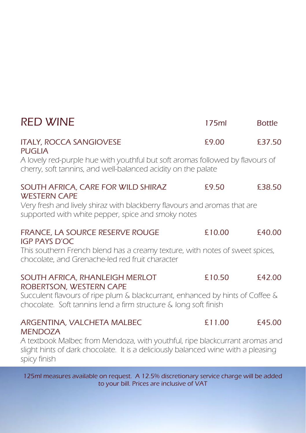| <b>RED WINE</b>                                                                                                                                                  | 175ml  | <b>Bottle</b> |
|------------------------------------------------------------------------------------------------------------------------------------------------------------------|--------|---------------|
| <b>ITALY, ROCCA SANGIOVESE</b><br><b>PUGLIA</b>                                                                                                                  | £9.00  | £37.50        |
| A lovely red-purple hue with youthful but soft aromas followed by flavours of<br>cherry, soft tannins, and well-balanced acidity on the palate                   |        |               |
| SOUTH AFRICA, CARE FOR WILD SHIRAZ<br><b>WESTERN CAPE</b>                                                                                                        | £9.50  | £38.50        |
| Very fresh and lively shiraz with blackberry flavours and aromas that are<br>supported with white pepper, spice and smoky notes                                  |        |               |
| FRANCE, LA SOURCE RESERVE ROUGE<br><b>IGP PAYS D'OC</b>                                                                                                          | £10.00 | £40.00        |
| This southern French blend has a creamy texture, with notes of sweet spices,<br>chocolate, and Grenache-led red fruit character                                  |        |               |
| SOUTH AFRICA, RHANLEIGH MERLOT<br>ROBERTSON, WESTERN CAPE                                                                                                        | £10.50 | £42.00        |
| Succulent flavours of ripe plum & blackcurrant, enhanced by hints of Coffee &<br>chocolate. Soft tannins lend a firm structure & long soft finish                |        |               |
| ARGENTINA, VALCHETA MALBEC<br><b>MENDOZA</b>                                                                                                                     | £11.00 | £45.00        |
| A textbook Malbec from Mendoza, with youthful, ripe blackcurrant aromas and<br>slight hints of dark chocolate. It is a deliciously balanced wine with a pleasing |        |               |

spicy finish 125ml measures available on request. A 12.5% discretionary service charge will be added

to your bill. Prices are inclusive of VAT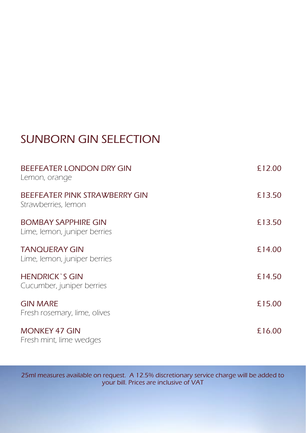# SUNBORN GIN SELECTION

| BEEFEATER LONDON DRY GIN<br>Lemon, orange                  | £12.00 |
|------------------------------------------------------------|--------|
| BEEFEATER PINK STRAWBERRY GIN<br>Strawberries, lemon       | £13.50 |
| <b>BOMBAY SAPPHIRE GIN</b><br>Lime, lemon, juniper berries | £13.50 |
| <b>TANOUERAY GIN</b><br>Lime, lemon, juniper berries       | £14.00 |
| <b>HENDRICK'S GIN</b><br>Cucumber, juniper berries         | £14.50 |
| <b>GIN MARE</b><br>Fresh rosemary, lime, olives            | £15.00 |
| <b>MONKEY 47 GIN</b><br>Fresh mint, lime wedges            | £16.00 |

25ml measures available on request. A 12.5% discretionary service charge will be added to your bill. Prices are inclusive of VAT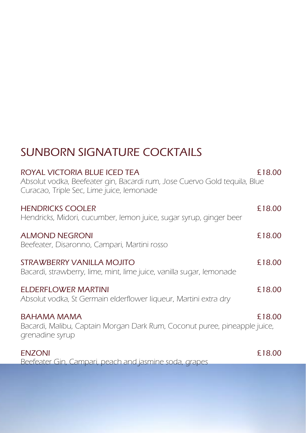# SUNBORN SIGNATURE COCKTAILS

| ROYAL VICTORIA BLUE ICED TEA<br>Absolut vodka, Beefeater gin, Bacardi rum, Jose Cuervo Gold tequila, Blue<br>Curacao, Triple Sec, Lime juice, lemonade | £18.00 |
|--------------------------------------------------------------------------------------------------------------------------------------------------------|--------|
| <b>HENDRICKS COOLER</b><br>Hendricks, Midori, cucumber, lemon juice, sugar syrup, ginger beer                                                          | £18.00 |
| <b>ALMOND NEGRONI</b><br>Beefeater, Disaronno, Campari, Martini rosso                                                                                  | £18.00 |
| STRAWBERRY VANILLA MOJITO<br>Bacardi, strawberry, lime, mint, lime juice, vanilla sugar, lemonade                                                      | £18.00 |
| ELDERFLOWER MARTINI<br>Absolut vodka, St Germain elderflower liqueur, Martini extra dry                                                                | £18.00 |
| BAHAMA MAMA<br>Bacardi, Malibu, Captain Morgan Dark Rum, Coconut puree, pineapple juice,<br>grenadine syrup                                            | £18.00 |
| <b>ENZONI</b>                                                                                                                                          | £18.00 |

Beefeater Gin, Campari, peach and jasmine soda, grapes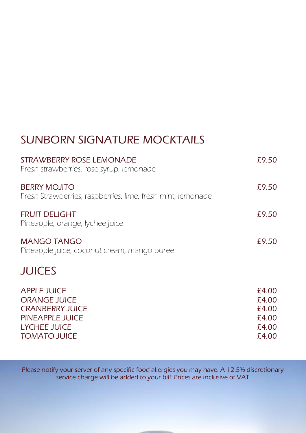# SUNBORN SIGNATURE MOCKTAILS

| <b>STRAWBERRY ROSE LEMONADE</b><br>Fresh strawberries, rose syrup, lemonade                                            | £9.50                                              |
|------------------------------------------------------------------------------------------------------------------------|----------------------------------------------------|
| <b>BERRY MOJITO</b><br>Fresh Strawberries, raspberries, lime, fresh mint, lemonade                                     | £9.50                                              |
| FRUIT DELIGHT<br>Pineapple, orange, lychee juice                                                                       | £9.50                                              |
| MANGO TANGO<br>Pineapple juice, coconut cream, mango puree                                                             | £9.50                                              |
| <b>JUICES</b>                                                                                                          |                                                    |
| <b>APPLE JUICE</b><br><b>ORANGE JUICE</b><br><b>CRANBERRY JUICE</b><br>PINEAPPLE JUICE<br>LYCHEE JUICE<br>TOMATO JUICE | £4.00<br>£4.00<br>£4.00<br>£4.00<br>£4.00<br>£4.00 |

Please notify your server of any specific food allergies you may have. A 12.5% discretionary service charge will be added to your bill. Prices are inclusive of VAT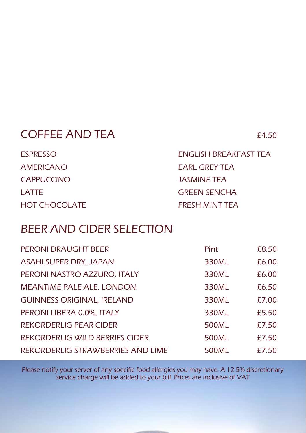## COFFEE AND TEA £4.50

| <b>ESPRESSO</b>      | ENGLISH BREAKFAST TEA |
|----------------------|-----------------------|
| <b>AMERICANO</b>     | <b>EARL GREY TEA</b>  |
| <b>CAPPUCCINO</b>    | JASMINE TEA           |
| LATTE                | <b>GREEN SENCHA</b>   |
| <b>HOT CHOCOLATE</b> | FRESH MINT TEA        |

## BEER AND CIDER SELECTION

| PERONI DRAUGHT BEER                   | Pint  | £8.50 |
|---------------------------------------|-------|-------|
| <b>ASAHI SUPER DRY, JAPAN</b>         | 330ML | £6.00 |
| PERONI NASTRO AZZURO, ITALY           | 330ML | £6.00 |
| <b>MEANTIME PALE ALE, LONDON</b>      | 330ML | £6.50 |
| <b>GUINNESS ORIGINAL, IRELAND</b>     | 330ML | £7.00 |
| PERONI LIBERA 0.0%, ITALY             | 330ML | £5.50 |
| REKORDERLIG PEAR CIDER                | 500ML | £7.50 |
| <b>REKORDERLIG WILD BERRIES CIDER</b> | 500ML | £7.50 |
| REKORDERLIG STRAWBERRIES AND LIME     | 500ML | £7.50 |

Please notify your server of any specific food allergies you may have. A 12.5% discretionary service charge will be added to your bill. Prices are inclusive of VAT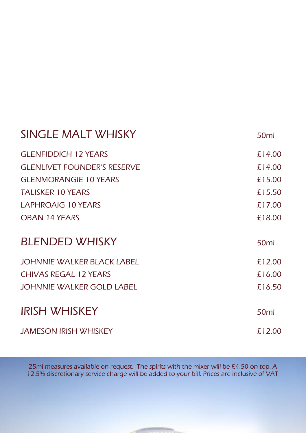| SINGLE MALT WHISKY                 | 50 <sub>ml</sub> |
|------------------------------------|------------------|
| <b>GLENFIDDICH 12 YEARS</b>        | £14.00           |
| <b>GLENLIVET FOUNDER'S RESERVE</b> | £14.00           |
| <b>GLENMORANGIE 10 YEARS</b>       | £15.00           |
| <b>TALISKER 10 YEARS</b>           | £15.50           |
| LAPHROAIG 10 YEARS                 | £17.00           |
| <b>OBAN 14 YEARS</b>               | £18.00           |
| <b>BLENDED WHISKY</b>              | 50 <sub>ml</sub> |
|                                    |                  |
| <b>JOHNNIE WALKER BLACK LABEL</b>  | £12.00           |
| <b>CHIVAS REGAL 12 YEARS</b>       | £16.00           |
| JOHNNIE WALKER GOLD LABEL          | £16.50           |
|                                    |                  |
| <b>IRISH WHISKEY</b>               | 50 <sub>ml</sub> |

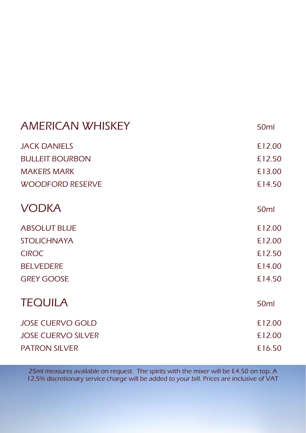| <b>AMERICAN WHISKEY</b>   | 50 <sub>ml</sub> |
|---------------------------|------------------|
| <b>JACK DANIELS</b>       | £12.00           |
| <b>BULLEIT BOURBON</b>    | £12.50           |
| <b>MAKERS MARK</b>        | £13.00           |
| <b>WOODFORD RESERVE</b>   | £14.50           |
| <b>VODKA</b>              | 50 <sub>ml</sub> |
| <b>ABSOLUT BLUE</b>       | £12.00           |
| <b>STOLICHNAYA</b>        | £12.00           |
| <b>CIROC</b>              | £12.50           |
| <b>BELVEDERE</b>          | £14.00           |
| <b>GREY GOOSE</b>         | £14.50           |
| <b>TEQUILA</b>            | 50 <sub>ml</sub> |
| <b>JOSE CUERVO GOLD</b>   | £12.00           |
| <b>JOSE CUERVO SILVER</b> | £12.00           |
| <b>PATRON SILVER</b>      | £16.50           |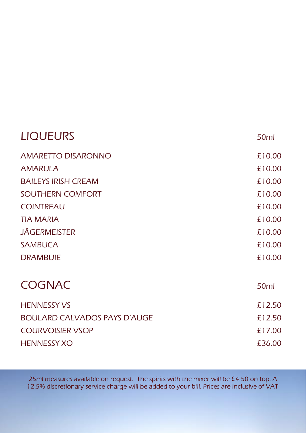| <b>LIQUEURS</b>                     | 50 <sub>ml</sub> |
|-------------------------------------|------------------|
| <b>AMARETTO DISARONNO</b>           | £10.00           |
| <b>AMARULA</b>                      | £10.00           |
| <b>BAILEYS IRISH CREAM</b>          | £10.00           |
| SOUTHERN COMFORT                    | £10.00           |
| <b>COINTREAU</b>                    | £10.00           |
| <b>TIA MARIA</b>                    | £10.00           |
| <b>JÄGERMEISTER</b>                 | £10.00           |
| <b>SAMBUCA</b>                      | £10.00           |
| <b>DRAMBUIE</b>                     | £10.00           |
| <b>COGNAC</b>                       | 50 <sub>ml</sub> |
| <b>HENNESSY VS</b>                  | £12.50           |
| <b>BOULARD CALVADOS PAYS D'AUGE</b> | £12.50           |
| <b>COURVOISIER VSOP</b>             | £17.00           |
| <b>HENNESSY XO</b>                  | £36.00           |
|                                     |                  |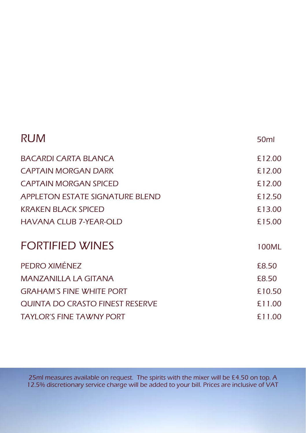| <b>RUM</b>                             | 50 <sub>ml</sub> |
|----------------------------------------|------------------|
| BACARDI CARTA BI ANCA                  | £12.00           |
| CAPTAIN MORGAN DARK                    | £12.00           |
| <b>CAPTAIN MORGAN SPICED</b>           | £12.00           |
| APPLETON ESTATE SIGNATURE BLEND        | £12.50           |
| <b>KRAKEN BLACK SPICED</b>             | £13.00           |
| HAVANA CLUB 7-YEAR-OLD                 | £15.00           |
| <b>FORTIFIED WINES</b>                 | 100ML            |
| PEDRO XIMÉNEZ                          | £8.50            |
| MANZANILLA LA GITANA                   | £8.50            |
| <b>GRAHAM'S FINE WHITE PORT</b>        | £10.50           |
| <b>QUINTA DO CRASTO FINEST RESERVE</b> | £11.00           |
| <b>TAYLOR'S FINE TAWNY PORT</b>        | £11.00           |